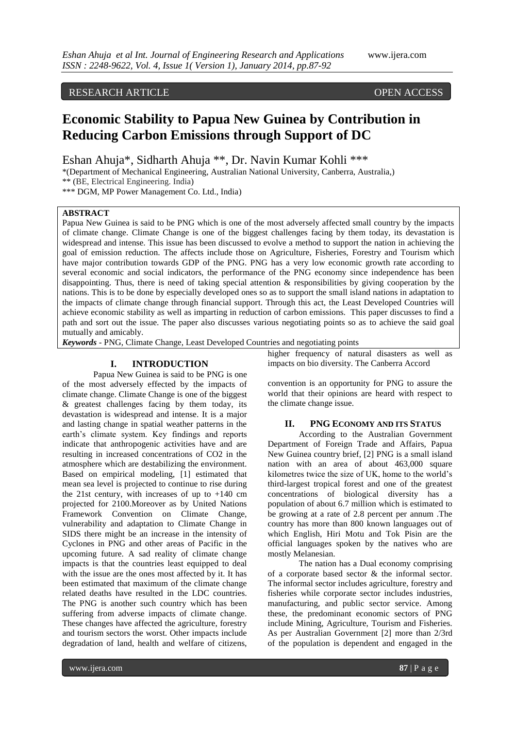# RESEARCH ARTICLE OPEN ACCESS

# **Economic Stability to Papua New Guinea by Contribution in Reducing Carbon Emissions through Support of DC**

Eshan Ahuja\*, Sidharth Ahuja \*\*, Dr. Navin Kumar Kohli \*\*\*

\*(Department of Mechanical Engineering, Australian National University, Canberra, Australia,) \*\* (BE, Electrical Engineering. India)

\*\*\* DGM, MP Power Management Co. Ltd., India)

### **ABSTRACT**

Papua New Guinea is said to be PNG which is one of the most adversely affected small country by the impacts of climate change. Climate Change is one of the biggest challenges facing by them today, its devastation is widespread and intense. This issue has been discussed to evolve a method to support the nation in achieving the goal of emission reduction. The affects include those on Agriculture, Fisheries, Forestry and Tourism which have major contribution towards GDP of the PNG. PNG has a very low economic growth rate according to several economic and social indicators, the performance of the PNG economy since independence has been disappointing. Thus, there is need of taking special attention & responsibilities by giving cooperation by the nations. This is to be done by especially developed ones so as to support the small island nations in adaptation to the impacts of climate change through financial support. Through this act, the Least Developed Countries will achieve economic stability as well as imparting in reduction of carbon emissions. This paper discusses to find a path and sort out the issue. The paper also discusses various negotiating points so as to achieve the said goal mutually and amicably.

*Keywords* - PNG, Climate Change, Least Developed Countries and negotiating points

#### **I. INTRODUCTION**

Papua New Guinea is said to be PNG is one of the most adversely effected by the impacts of climate change. Climate Change is one of the biggest & greatest challenges facing by them today, its devastation is widespread and intense. It is a major and lasting change in spatial weather patterns in the earth's climate system. Key findings and reports indicate that anthropogenic activities have and are resulting in increased concentrations of CO2 in the atmosphere which are destabilizing the environment. Based on empirical modeling, [1] estimated that mean sea level is projected to continue to rise during the 21st century, with increases of up to +140 cm projected for 2100.Moreover as by United Nations Framework Convention on Climate Change, vulnerability and adaptation to Climate Change in SIDS there might be an increase in the intensity of Cyclones in PNG and other areas of Pacific in the upcoming future. A sad reality of climate change impacts is that the countries least equipped to deal with the issue are the ones most affected by it. It has been estimated that maximum of the climate change related deaths have resulted in the LDC countries. The PNG is another such country which has been suffering from adverse impacts of climate change. These changes have affected the agriculture, forestry and tourism sectors the worst. Other impacts include degradation of land, health and welfare of citizens,

higher frequency of natural disasters as well as impacts on bio diversity. The Canberra Accord

convention is an opportunity for PNG to assure the world that their opinions are heard with respect to the climate change issue.

# **II. PNG ECONOMY AND ITS STATUS**

According to the Australian Government Department of Foreign Trade and Affairs, Papua New Guinea country brief, [2] PNG is a small island nation with an area of about 463,000 square kilometres twice the size of UK, home to the world's third-largest tropical forest and one of the greatest concentrations of biological diversity has a population of about 6.7 million which is estimated to be growing at a rate of 2.8 percent per annum .The country has more than 800 known languages out of which English, Hiri Motu and Tok Pisin are the official languages spoken by the natives who are mostly Melanesian.

The nation has a Dual economy comprising of a corporate based sector & the informal sector. The informal sector includes agriculture, forestry and fisheries while corporate sector includes industries, manufacturing, and public sector service. Among these, the predominant economic sectors of PNG include Mining, Agriculture, Tourism and Fisheries. As per Australian Government [2] more than 2/3rd of the population is dependent and engaged in the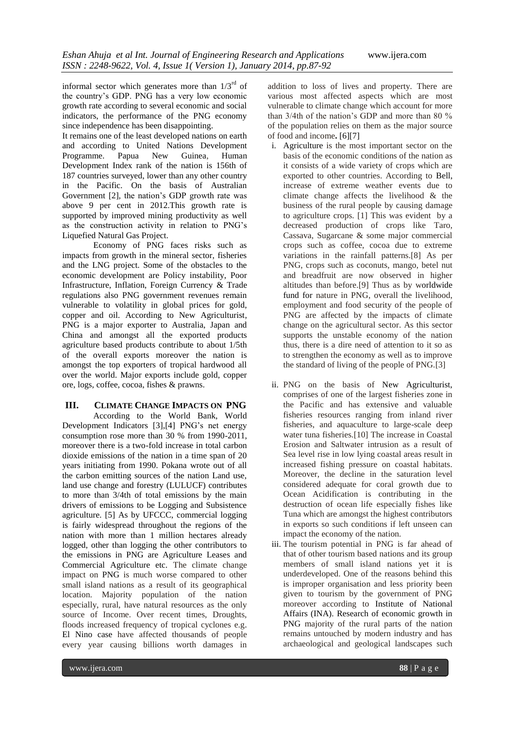informal sector which generates more than  $1/3<sup>rd</sup>$  of the country's GDP. PNG has a very low economic growth rate according to several economic and social indicators, the performance of the PNG economy since independence has been disappointing.

It remains one of the least developed nations on earth and according to United Nations Development<br>Programme. Papua New Guinea, Human Programme. Papua New Guinea, Human Development Index rank of the nation is 156th of 187 countries surveyed, lower than any other country in the Pacific. On the basis of Australian Government [2], the nation's GDP growth rate was above 9 per cent in 2012.This growth rate is supported by improved mining productivity as well as the construction activity in relation to PNG's Liquefied Natural Gas Project.

Economy of PNG faces risks such as impacts from growth in the mineral sector, fisheries and the LNG project. Some of the obstacles to the economic development are Policy instability, Poor Infrastructure, Inflation, Foreign Currency & Trade regulations also PNG government revenues remain vulnerable to volatility in global prices for gold, copper and oil. According to New Agriculturist, PNG is a major exporter to Australia, Japan and China and amongst all the exported products agriculture based products contribute to about 1/5th of the overall exports moreover the nation is amongst the top exporters of tropical hardwood all over the world. Major exports include gold, copper ore, logs, coffee, cocoa, fishes & prawns.

#### **III. CLIMATE CHANGE IMPACTS ON PNG**

According to the World Bank, World Development Indicators [3],[4] PNG's net energy consumption rose more than 30 % from 1990-2011, moreover there is a two-fold increase in total carbon dioxide emissions of the nation in a time span of 20 years initiating from 1990. Pokana wrote out of all the carbon emitting sources of the nation Land use, land use change and forestry (LULUCF) contributes to more than 3/4th of total emissions by the main drivers of emissions to be Logging and Subsistence agriculture. [5] As by UFCCC, commercial logging is fairly widespread throughout the regions of the nation with more than 1 million hectares already logged, other than logging the other contributors to the emissions in PNG are Agriculture Leases and Commercial Agriculture etc. The climate change impact on PNG is much worse compared to other small island nations as a result of its geographical location. Majority population of the nation especially, rural, have natural resources as the only source of Income. Over recent times, Droughts, floods increased frequency of tropical cyclones e.g. El Nino case have affected thousands of people every year causing billions worth damages in

addition to loss of lives and property. There are various most affected aspects which are most vulnerable to climate change which account for more than 3/4th of the nation's GDP and more than 80 % of the population relies on them as the major source of food and income**.** [6][7]

- i. Agriculture is the most important sector on the basis of the economic conditions of the nation as it consists of a wide variety of crops which are exported to other countries. According to Bell, increase of extreme weather events due to climate change affects the livelihood & the business of the rural people by causing damage to agriculture crops. [1] This was evident by a decreased production of crops like Taro, Cassava, Sugarcane & some major commercial crops such as coffee, cocoa due to extreme variations in the rainfall patterns.[8] As per PNG, crops such as coconuts, mango, betel nut and breadfruit are now observed in higher altitudes than before.[9] Thus as by worldwide fund for nature in PNG, overall the livelihood, employment and food security of the people of PNG are affected by the impacts of climate change on the agricultural sector. As this sector supports the unstable economy of the nation thus, there is a dire need of attention to it so as to strengthen the economy as well as to improve the standard of living of the people of PNG.[3]
- ii. PNG on the basis of New Agriculturist, comprises of one of the largest fisheries zone in the Pacific and has extensive and valuable fisheries resources ranging from inland river fisheries, and aquaculture to large-scale deep water tuna fisheries.[10] The increase in Coastal Erosion and Saltwater intrusion as a result of Sea level rise in low lying coastal areas result in increased fishing pressure on coastal habitats. Moreover, the decline in the saturation level considered adequate for coral growth due to Ocean Acidification is contributing in the destruction of ocean life especially fishes like Tuna which are amongst the highest contributors in exports so such conditions if left unseen can impact the economy of the nation.
- iii. The tourism potential in PNG is far ahead of that of other tourism based nations and its group members of small island nations yet it is underdeveloped. One of the reasons behind this is improper organisation and less priority been given to tourism by the government of PNG moreover according to Institute of National Affairs (INA). Research of economic growth in PNG majority of the rural parts of the nation remains untouched by modern industry and has archaeological and geological landscapes such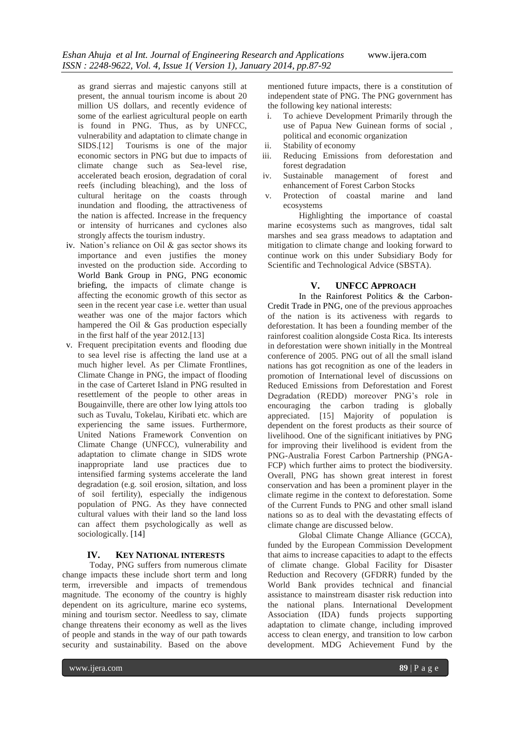as grand sierras and majestic canyons still at present, the annual tourism income is about 20 million US dollars, and recently evidence of some of the earliest agricultural people on earth is found in PNG. Thus, as by UNFCC, vulnerability and adaptation to climate change in SIDS.[12] Tourisms is one of the major economic sectors in PNG but due to impacts of climate change such as Sea-level rise, accelerated beach erosion, degradation of coral reefs (including bleaching), and the loss of cultural heritage on the coasts through inundation and flooding, the attractiveness of the nation is affected. Increase in the frequency or intensity of hurricanes and cyclones also strongly affects the tourism industry.

- iv. Nation's reliance on Oil & gas sector shows its importance and even justifies the money invested on the production side. According to World Bank Group in PNG, PNG economic briefing, the impacts of climate change is affecting the economic growth of this sector as seen in the recent year case i.e. wetter than usual weather was one of the major factors which hampered the Oil & Gas production especially in the first half of the year 2012.[13]
- v. Frequent precipitation events and flooding due to sea level rise is affecting the land use at a much higher level. As per Climate Frontlines, Climate Change in PNG, the impact of flooding in the case of Carteret Island in PNG resulted in resettlement of the people to other areas in Bougainville, there are other low lying attols too such as Tuvalu, Tokelau, Kiribati etc. which are experiencing the same issues. Furthermore, United Nations Framework Convention on Climate Change (UNFCC), vulnerability and adaptation to climate change in SIDS wrote inappropriate land use practices due to intensified farming systems accelerate the land degradation (e.g. soil erosion, siltation, and loss of soil fertility), especially the indigenous population of PNG. As they have connected cultural values with their land so the land loss can affect them psychologically as well as sociologically. [14]

#### **IV. KEY NATIONAL INTERESTS**

Today, PNG suffers from numerous climate change impacts these include short term and long term, irreversible and impacts of tremendous magnitude. The economy of the country is highly dependent on its agriculture, marine eco systems, mining and tourism sector. Needless to say, climate change threatens their economy as well as the lives of people and stands in the way of our path towards security and sustainability. Based on the above

mentioned future impacts, there is a constitution of independent state of PNG. The PNG government has the following key national interests:

- i. To achieve Development Primarily through the use of Papua New Guinean forms of social , political and economic organization
- ii. Stability of economy<br>iii. Reducing Emissions
- Reducing Emissions from deforestation and forest degradation<br>Sustainable mar
- iv. Sustainable management of forest and enhancement of Forest Carbon Stocks
- v. Protection of coastal marine and land ecosystems

Highlighting the importance of coastal marine ecosystems such as mangroves, tidal salt marshes and sea grass meadows to adaptation and mitigation to climate change and looking forward to continue work on this under Subsidiary Body for Scientific and Technological Advice (SBSTA).

#### **V. UNFCC APPROACH**

In the Rainforest Politics & the Carbon-Credit Trade in PNG, one of the previous approaches of the nation is its activeness with regards to deforestation. It has been a founding member of the rainforest coalition alongside Costa Rica. Its interests in deforestation were shown initially in the Montreal conference of 2005. PNG out of all the small island nations has got recognition as one of the leaders in promotion of International level of discussions on Reduced Emissions from Deforestation and Forest Degradation (REDD) moreover PNG's role in encouraging the carbon trading is globally appreciated. [15] Majority of population is dependent on the forest products as their source of livelihood. One of the significant initiatives by PNG for improving their livelihood is evident from the PNG-Australia Forest Carbon Partnership (PNGA-FCP) which further aims to protect the biodiversity. Overall, PNG has shown great interest in forest conservation and has been a prominent player in the climate regime in the context to deforestation. Some of the Current Funds to PNG and other small island nations so as to deal with the devastating effects of climate change are discussed below.

Global Climate Change Alliance (GCCA), funded by the European Commission Development that aims to increase capacities to adapt to the effects of climate change. Global Facility for Disaster Reduction and Recovery (GFDRR) funded by the World Bank provides technical and financial assistance to mainstream disaster risk reduction into the national plans. International Development Association (IDA) funds projects supporting adaptation to climate change, including improved access to clean energy, and transition to low carbon development. MDG Achievement Fund by the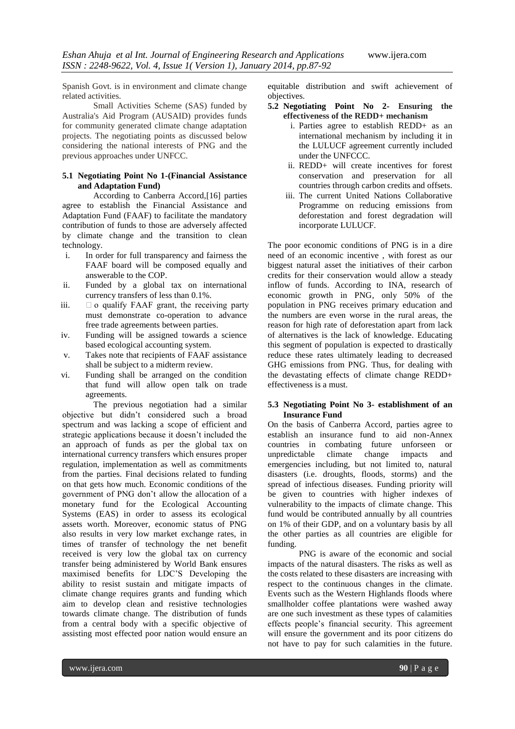Spanish Govt. is in environment and climate change related activities.

Small Activities Scheme (SAS) funded by Australia's Aid Program (AUSAID) provides funds for community generated climate change adaptation projects. The negotiating points as discussed below considering the national interests of PNG and the previous approaches under UNFCC.

#### **5.1 Negotiating Point No 1-(Financial Assistance and Adaptation Fund)**

According to Canberra Accord,[16] parties agree to establish the Financial Assistance and Adaptation Fund (FAAF) to facilitate the mandatory contribution of funds to those are adversely affected by climate change and the transition to clean technology.

- i. In order for full transparency and fairness the FAAF board will be composed equally and answerable to the COP.
- ii. Funded by a global tax on international currency transfers of less than 0.1%.
- iii.  $\Box$  o qualify FAAF grant, the receiving party must demonstrate co-operation to advance free trade agreements between parties.
- iv. Funding will be assigned towards a science based ecological accounting system.
- v. Takes note that recipients of FAAF assistance shall be subject to a midterm review.
- vi. Funding shall be arranged on the condition that fund will allow open talk on trade agreements.

The previous negotiation had a similar objective but didn't considered such a broad spectrum and was lacking a scope of efficient and strategic applications because it doesn't included the an approach of funds as per the global tax on international currency transfers which ensures proper regulation, implementation as well as commitments from the parties. Final decisions related to funding on that gets how much. Economic conditions of the government of PNG don't allow the allocation of a monetary fund for the Ecological Accounting Systems (EAS) in order to assess its ecological assets worth. Moreover, economic status of PNG also results in very low market exchange rates, in times of transfer of technology the net benefit received is very low the global tax on currency transfer being administered by World Bank ensures maximised benefits for LDC'S Developing the ability to resist sustain and mitigate impacts of climate change requires grants and funding which aim to develop clean and resistive technologies towards climate change. The distribution of funds from a central body with a specific objective of assisting most effected poor nation would ensure an

equitable distribution and swift achievement of objectives.

- **5.2 Negotiating Point No 2- Ensuring the effectiveness of the REDD+ mechanism**
	- i. Parties agree to establish REDD+ as an international mechanism by including it in the LULUCF agreement currently included under the UNFCCC.
	- ii. REDD+ will create incentives for forest conservation and preservation for all countries through carbon credits and offsets.
	- iii. The current United Nations Collaborative Programme on reducing emissions from deforestation and forest degradation will incorporate LULUCF.

The poor economic conditions of PNG is in a dire need of an economic incentive , with forest as our biggest natural asset the initiatives of their carbon credits for their conservation would allow a steady inflow of funds. According to INA, research of economic growth in PNG, only 50% of the population in PNG receives primary education and the numbers are even worse in the rural areas, the reason for high rate of deforestation apart from lack of alternatives is the lack of knowledge. Educating this segment of population is expected to drastically reduce these rates ultimately leading to decreased GHG emissions from PNG. Thus, for dealing with the devastating effects of climate change REDD+ effectiveness is a must.

#### **5.3 Negotiating Point No 3- establishment of an Insurance Fund**

On the basis of Canberra Accord, parties agree to establish an insurance fund to aid non-Annex countries in combating future unforseen or unpredictable climate change impacts and emergencies including, but not limited to, natural disasters (i.e. droughts, floods, storms) and the spread of infectious diseases. Funding priority will be given to countries with higher indexes of vulnerability to the impacts of climate change. This fund would be contributed annually by all countries on 1% of their GDP, and on a voluntary basis by all the other parties as all countries are eligible for funding.

PNG is aware of the economic and social impacts of the natural disasters. The risks as well as the costs related to these disasters are increasing with respect to the continuous changes in the climate. Events such as the Western Highlands floods where smallholder coffee plantations were washed away are one such investment as these types of calamities effects people's financial security. This agreement will ensure the government and its poor citizens do not have to pay for such calamities in the future.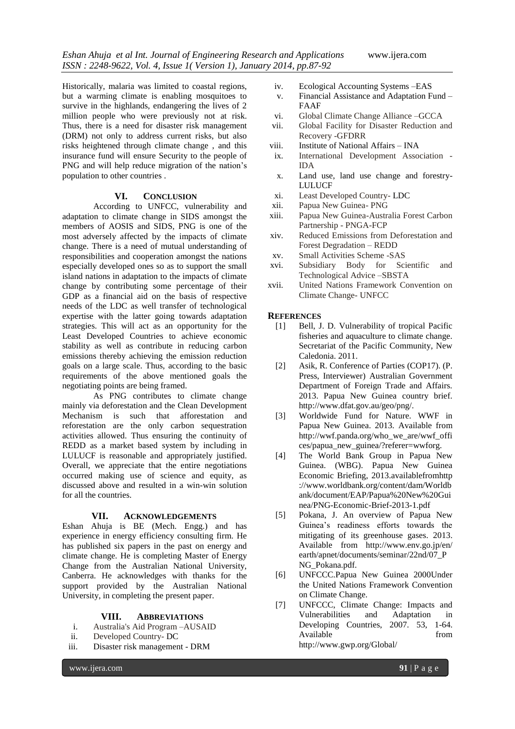Historically, malaria was limited to coastal regions, but a warming climate is enabling mosquitoes to survive in the highlands, endangering the lives of 2 million people who were previously not at risk. Thus, there is a need for disaster risk management (DRM) not only to address current risks, but also risks heightened through climate change , and this insurance fund will ensure Security to the people of PNG and will help reduce migration of the nation's population to other countries .

#### **VI. CONCLUSION**

According to UNFCC, vulnerability and adaptation to climate change in SIDS amongst the members of AOSIS and SIDS, PNG is one of the most adversely affected by the impacts of climate change. There is a need of mutual understanding of responsibilities and cooperation amongst the nations especially developed ones so as to support the small island nations in adaptation to the impacts of climate change by contributing some percentage of their GDP as a financial aid on the basis of respective needs of the LDC as well transfer of technological expertise with the latter going towards adaptation strategies. This will act as an opportunity for the Least Developed Countries to achieve economic stability as well as contribute in reducing carbon emissions thereby achieving the emission reduction goals on a large scale. Thus, according to the basic requirements of the above mentioned goals the negotiating points are being framed.

As PNG contributes to climate change mainly via deforestation and the Clean Development Mechanism is such that afforestation and reforestation are the only carbon sequestration activities allowed. Thus ensuring the continuity of REDD as a market based system by including in LULUCF is reasonable and appropriately justified. Overall, we appreciate that the entire negotiations occurred making use of science and equity, as discussed above and resulted in a win-win solution for all the countries.

#### **VII. ACKNOWLEDGEMENTS**

Eshan Ahuja is BE (Mech. Engg.) and has experience in energy efficiency consulting firm. He has published six papers in the past on energy and climate change. He is completing Master of Energy Change from the Australian National University, Canberra. He acknowledges with thanks for the support provided by the Australian National University, in completing the present paper.

#### **VIII. ABBREVIATIONS**

- i. Australia's Aid Program –AUSAID
- ii. Developed Country- DC
- iii. Disaster risk management DRM
	-
- iv. Ecological Accounting Systems –EAS
- v. Financial Assistance and Adaptation Fund FAAF
- vi. Global Climate Change Alliance –GCCA
- vii. Global Facility for Disaster Reduction and Recovery -GFDRR
- viii. Institute of National Affairs INA
- ix. International Development Association IDA
- x. Land use, land use change and forestry-LULUCF
- xi. Least Developed Country- LDC
- xii. Papua New Guinea- PNG
- xiii. Papua New Guinea-Australia Forest Carbon Partnership - PNGA-FCP
- xiv. Reduced Emissions from Deforestation and Forest Degradation – REDD
- xv. Small Activities Scheme -SAS
- xvi. Subsidiary Body for Scientific and Technological Advice –SBSTA
- xvii. United Nations Framework Convention on Climate Change- UNFCC

#### **REFERENCES**

- [1] Bell, J. D. Vulnerability of tropical Pacific fisheries and aquaculture to climate change. Secretariat of the Pacific Community, New Caledonia. 2011.
- [2] Asik, R. Conference of Parties (COP17). (P. Press, Interviewer) Australian Government Department of Foreign Trade and Affairs. 2013. Papua New Guinea country brief. http://www.dfat.gov.au/geo/png/.
- [3] Worldwide Fund for Nature. WWF in Papua New Guinea. 2013. Available from http://wwf.panda.org/who\_we\_are/wwf\_offi ces/papua\_new\_guinea/?referer=wwforg.
- [4] The World Bank Group in Papua New Guinea. (WBG). Papua New Guinea Economic Briefing, 2013.availablefromhttp ://www.worldbank.org/content/dam/Worldb ank/document/EAP/Papua%20New%20Gui nea/PNG-Economic-Brief-2013-1.pdf
- [5] Pokana, J. An overview of Papua New Guinea's readiness efforts towards the mitigating of its greenhouse gases. 2013. Available from http://www.env.go.jp/en/ earth/apnet/documents/seminar/22nd/07\_P NG\_Pokana.pdf.
- [6] UNFCCC.Papua New Guinea 2000Under the United Nations Framework Convention on Climate Change.
- [7] UNFCCC, Climate Change: Impacts and Vulnerabilities and Adaptation in Developing Countries, 2007. 53, 1-64. Available from from http://www.gwp.org/Global/